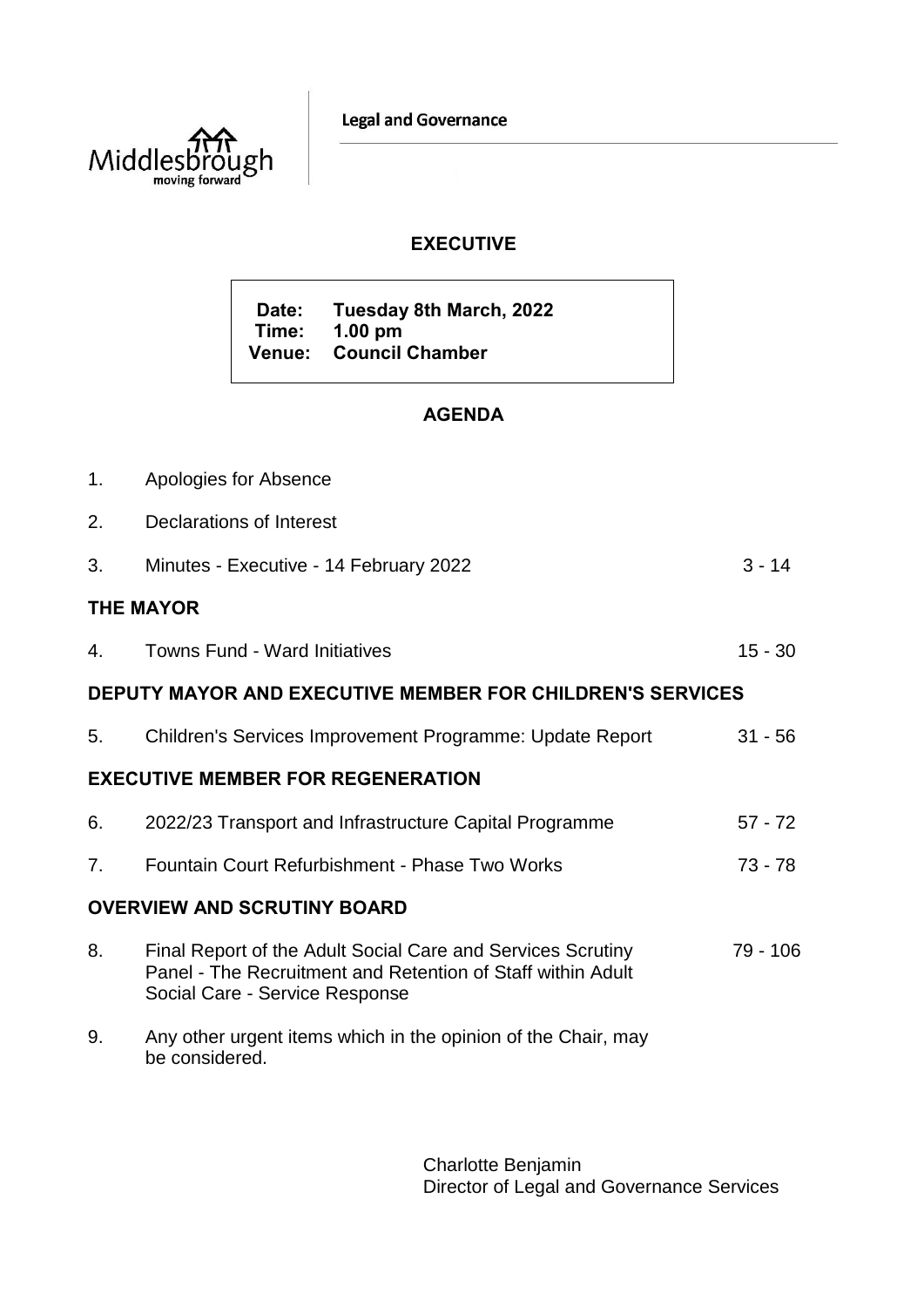**Legal and Governance** 



## **EXECUTIVE**

**Date: Tuesday 8th March, 2022 Time: 1.00 pm Venue: Council Chamber**

## **AGENDA**

| 1.                                                               | Apologies for Absence                                                                                                                                        |           |
|------------------------------------------------------------------|--------------------------------------------------------------------------------------------------------------------------------------------------------------|-----------|
| 2.                                                               | Declarations of Interest                                                                                                                                     |           |
| 3.                                                               | Minutes - Executive - 14 February 2022                                                                                                                       | $3 - 14$  |
| <b>THE MAYOR</b>                                                 |                                                                                                                                                              |           |
| 4.                                                               | <b>Towns Fund - Ward Initiatives</b>                                                                                                                         | $15 - 30$ |
| <b>DEPUTY MAYOR AND EXECUTIVE MEMBER FOR CHILDREN'S SERVICES</b> |                                                                                                                                                              |           |
| 5.                                                               | Children's Services Improvement Programme: Update Report                                                                                                     | $31 - 56$ |
| <b>EXECUTIVE MEMBER FOR REGENERATION</b>                         |                                                                                                                                                              |           |
| 6.                                                               | 2022/23 Transport and Infrastructure Capital Programme                                                                                                       | $57 - 72$ |
| 7.                                                               | Fountain Court Refurbishment - Phase Two Works                                                                                                               | $73 - 78$ |
| <b>OVERVIEW AND SCRUTINY BOARD</b>                               |                                                                                                                                                              |           |
| 8.                                                               | Final Report of the Adult Social Care and Services Scrutiny<br>Panel - The Recruitment and Retention of Staff within Adult<br>Social Care - Service Response | 79 - 106  |
| 9.                                                               | Any other urgent items which in the opinion of the Chair, may<br>be considered.                                                                              |           |

Charlotte Benjamin Director of Legal and Governance Services